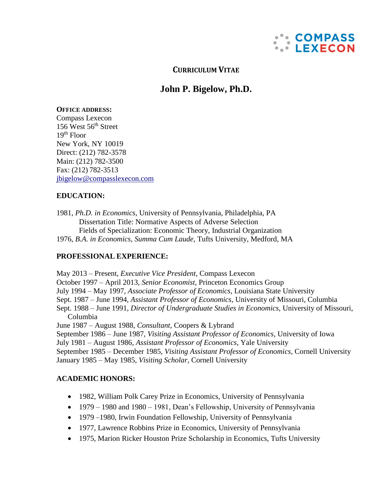

**CURRICULUM VITAE**

# **John P. Bigelow, Ph.D.**

#### **OFFICE ADDRESS:**

Compass Lexecon 156 West 56<sup>th</sup> Street  $19<sup>th</sup>$  Floor New York, NY 10019 Direct: (212) 782-3578 Main: (212) 782-3500 Fax: (212) 782-3513 [jbigelow@compasslexecon.com](mailto:jbigelow@compasslexecon.com)

## **EDUCATION:**

1981, *Ph.D. in Economics*, University of Pennsylvania, Philadelphia, PA Dissertation Title: Normative Aspects of Adverse Selection Fields of Specialization: Economic Theory, Industrial Organization 1976, *B.A. in Economics, Summa Cum Laude*, Tufts University, Medford, MA

## **PROFESSIONAL EXPERIENCE:**

May 2013 – Present, *Executive Vice President,* Compass Lexecon October 1997 – April 2013, *Senior Economist*, Princeton Economics Group July 1994 – May 1997, *Associate Professor of Economics*, Louisiana State University Sept. 1987 – June 1994, *Assistant Professor of Economics*, University of Missouri, Columbia Sept. 1988 – June 1991, *Director of Undergraduate Studies in Economics*, University of Missouri, Columbia June 1987 – August 1988, *Consultant*, Coopers & Lybrand September 1986 – June 1987, *Visiting Assistant Professor of Economics*, University of Iowa July 1981 – August 1986, *Assistant Professor of Economics*, Yale University September 1985 – December 1985, *Visiting Assistant Professor of Economics*, Cornell University January 1985 – May 1985, *Visiting Scholar*, Cornell University

## **ACADEMIC HONORS:**

- 1982, William Polk Carey Prize in Economics, University of Pennsylvania
- 1979 1980 and 1980 1981, Dean's Fellowship, University of Pennsylvania
- 1979–1980, Irwin Foundation Fellowship, University of Pennsylvania
- 1977, Lawrence Robbins Prize in Economics, University of Pennsylvania
- 1975, Marion Ricker Houston Prize Scholarship in Economics, Tufts University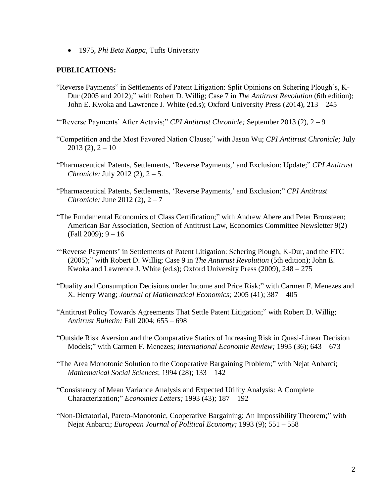• 1975, *Phi Beta Kappa*, Tufts University

#### **PUBLICATIONS:**

"Reverse Payments" in Settlements of Patent Litigation: Split Opinions on Schering Plough's, K-Dur (2005 and 2012);" with Robert D. Willig; Case 7 in *The Antitrust Revolution* (6th edition); John E. Kwoka and Lawrence J. White (ed.s); Oxford University Press (2014), 213 – 245

"'Reverse Payments' After Actavis;" *CPI Antitrust Chronicle;* September 2013 (2), 2 – 9

- "Competition and the Most Favored Nation Clause;" with Jason Wu; *CPI Antitrust Chronicle;* July  $2013(2), 2 - 10$
- "Pharmaceutical Patents, Settlements, 'Reverse Payments,' and Exclusion: Update;" *CPI Antitrust Chronicle;* July 2012 (2), 2 – 5.
- "Pharmaceutical Patents, Settlements, 'Reverse Payments,' and Exclusion;" *CPI Antitrust Chronicle;* June 2012 (2), 2 – 7
- "The Fundamental Economics of Class Certification;" with Andrew Abere and Peter Bronsteen; American Bar Association, Section of Antitrust Law, Economics Committee Newsletter 9(2) (Fall 2009); 9 – 16
- "'Reverse Payments' in Settlements of Patent Litigation: Schering Plough, K-Dur, and the FTC (2005);" with Robert D. Willig; Case 9 in *The Antitrust Revolution* (5th edition); John E. Kwoka and Lawrence J. White (ed.s); Oxford University Press (2009), 248 – 275
- "Duality and Consumption Decisions under Income and Price Risk;" with Carmen F. Menezes and X. Henry Wang; *Journal of Mathematical Economics;* 2005 (41); 387 – 405
- "Antitrust Policy Towards Agreements That Settle Patent Litigation;" with Robert D. Willig; *Antitrust Bulletin;* Fall 2004; 655 – 698
- "Outside Risk Aversion and the Comparative Statics of Increasing Risk in Quasi-Linear Decision Models;" with Carmen F. Menezes; *International Economic Review;* 1995 (36); 643 – 673
- "The Area Monotonic Solution to the Cooperative Bargaining Problem;" with Nejat Anbarci; *Mathematical Social Sciences*; 1994 (28); 133 – 142
- "Consistency of Mean Variance Analysis and Expected Utility Analysis: A Complete Characterization;" *Economics Letters;* 1993 (43); 187 – 192
- "Non-Dictatorial, Pareto-Monotonic, Cooperative Bargaining: An Impossibility Theorem;" with Nejat Anbarci; *European Journal of Political Economy;* 1993 (9); 551 – 558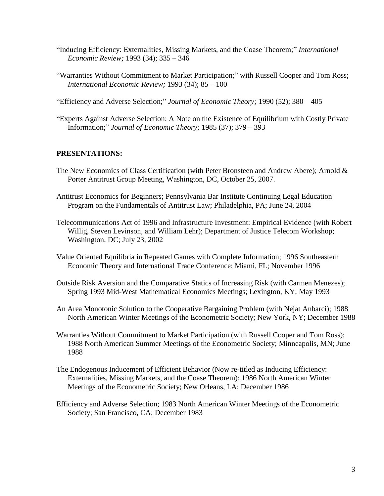- "Inducing Efficiency: Externalities, Missing Markets, and the Coase Theorem;" *International Economic Review;* 1993 (34); 335 – 346
- "Warranties Without Commitment to Market Participation;" with Russell Cooper and Tom Ross; *International Economic Review;* 1993 (34); 85 – 100
- "Efficiency and Adverse Selection;" *Journal of Economic Theory;* 1990 (52); 380 405
- "Experts Against Adverse Selection: A Note on the Existence of Equilibrium with Costly Private Information;" *Journal of Economic Theory;* 1985 (37); 379 – 393

#### **PRESENTATIONS:**

- The New Economics of Class Certification (with Peter Bronsteen and Andrew Abere); Arnold & Porter Antitrust Group Meeting, Washington, DC, October 25, 2007.
- Antitrust Economics for Beginners; Pennsylvania Bar Institute Continuing Legal Education Program on the Fundamentals of Antitrust Law; Philadelphia, PA; June 24, 2004
- Telecommunications Act of 1996 and Infrastructure Investment: Empirical Evidence (with Robert Willig, Steven Levinson, and William Lehr); Department of Justice Telecom Workshop; Washington, DC; July 23, 2002
- Value Oriented Equilibria in Repeated Games with Complete Information; 1996 Southeastern Economic Theory and International Trade Conference; Miami, FL; November 1996
- Outside Risk Aversion and the Comparative Statics of Increasing Risk (with Carmen Menezes); Spring 1993 Mid-West Mathematical Economics Meetings; Lexington, KY; May 1993
- An Area Monotonic Solution to the Cooperative Bargaining Problem (with Nejat Anbarci); 1988 North American Winter Meetings of the Econometric Society; New York, NY; December 1988
- Warranties Without Commitment to Market Participation (with Russell Cooper and Tom Ross); 1988 North American Summer Meetings of the Econometric Society; Minneapolis, MN; June 1988
- The Endogenous Inducement of Efficient Behavior (Now re-titled as Inducing Efficiency: Externalities, Missing Markets, and the Coase Theorem); 1986 North American Winter Meetings of the Econometric Society; New Orleans, LA; December 1986
- Efficiency and Adverse Selection; 1983 North American Winter Meetings of the Econometric Society; San Francisco, CA; December 1983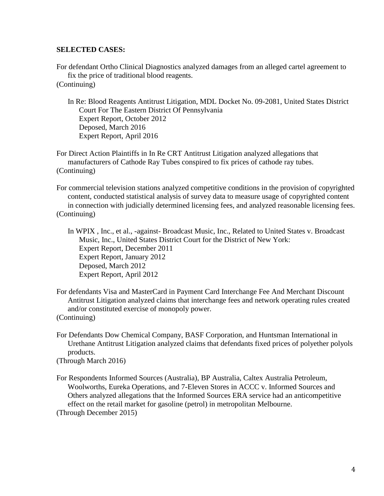#### **SELECTED CASES:**

For defendant Ortho Clinical Diagnostics analyzed damages from an alleged cartel agreement to fix the price of traditional blood reagents. (Continuing)

In Re: Blood Reagents Antitrust Litigation, MDL Docket No. 09-2081, United States District Court For The Eastern District Of Pennsylvania Expert Report, October 2012 Deposed, March 2016 Expert Report, April 2016

For Direct Action Plaintiffs in In Re CRT Antitrust Litigation analyzed allegations that manufacturers of Cathode Ray Tubes conspired to fix prices of cathode ray tubes. (Continuing)

For commercial television stations analyzed competitive conditions in the provision of copyrighted content, conducted statistical analysis of survey data to measure usage of copyrighted content in connection with judicially determined licensing fees, and analyzed reasonable licensing fees. (Continuing)

In WPIX , Inc., et al., -against- Broadcast Music, Inc., Related to United States v. Broadcast Music, Inc., United States District Court for the District of New York: Expert Report, December 2011 Expert Report, January 2012 Deposed, March 2012 Expert Report, April 2012

For defendants Visa and MasterCard in Payment Card Interchange Fee And Merchant Discount Antitrust Litigation analyzed claims that interchange fees and network operating rules created and/or constituted exercise of monopoly power. (Continuing)

For Defendants Dow Chemical Company, BASF Corporation, and Huntsman International in Urethane Antitrust Litigation analyzed claims that defendants fixed prices of polyether polyols products.

(Through March 2016)

For Respondents Informed Sources (Australia), BP Australia, Caltex Australia Petroleum, Woolworths, Eureka Operations, and 7-Eleven Stores in ACCC v. Informed Sources and Others analyzed allegations that the Informed Sources ERA service had an anticompetitive effect on the retail market for gasoline (petrol) in metropolitan Melbourne. (Through December 2015)

4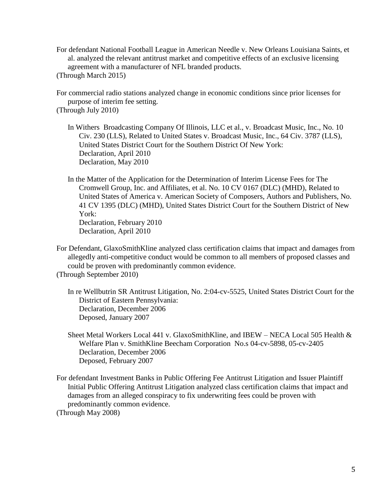For defendant National Football League in American Needle v. New Orleans Louisiana Saints, et al. analyzed the relevant antitrust market and competitive effects of an exclusive licensing agreement with a manufacturer of NFL branded products.

(Through March 2015)

For commercial radio stations analyzed change in economic conditions since prior licenses for purpose of interim fee setting.

(Through July 2010)

- In Withers Broadcasting Company Of Illinois, LLC et al., v. Broadcast Music, Inc., No. 10 Civ. 230 (LLS), Related to United States v. Broadcast Music, Inc., 64 Civ. 3787 (LLS), United States District Court for the Southern District Of New York: Declaration, April 2010 Declaration, May 2010
- In the Matter of the Application for the Determination of Interim License Fees for The Cromwell Group, Inc. and Affiliates, et al. No. 10 CV 0167 (DLC) (MHD), Related to United States of America v. American Society of Composers, Authors and Publishers, No. 41 CV 1395 (DLC) (MHD), United States District Court for the Southern District of New York: Declaration, February 2010 Declaration, April 2010
- For Defendant, GlaxoSmithKline analyzed class certification claims that impact and damages from allegedly anti-competitive conduct would be common to all members of proposed classes and could be proven with predominantly common evidence.

(Through September 2010)

In re Wellbutrin SR Antitrust Litigation, No. 2:04-cv-5525, United States District Court for the District of Eastern Pennsylvania: Declaration, December 2006 Deposed, January 2007

Sheet Metal Workers Local 441 v. GlaxoSmithKline, and IBEW – NECA Local 505 Health & Welfare Plan v. SmithKline Beecham Corporation No.s 04-cv-5898, 05-cv-2405 Declaration, December 2006 Deposed, February 2007

For defendant Investment Banks in Public Offering Fee Antitrust Litigation and Issuer Plaintiff Initial Public Offering Antitrust Litigation analyzed class certification claims that impact and damages from an alleged conspiracy to fix underwriting fees could be proven with predominantly common evidence.

(Through May 2008)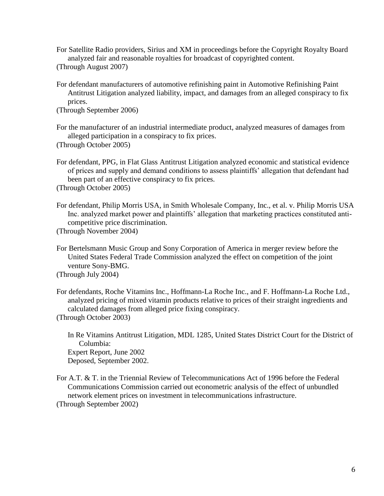- For Satellite Radio providers, Sirius and XM in proceedings before the Copyright Royalty Board analyzed fair and reasonable royalties for broadcast of copyrighted content. (Through August 2007)
- For defendant manufacturers of automotive refinishing paint in Automotive Refinishing Paint Antitrust Litigation analyzed liability, impact, and damages from an alleged conspiracy to fix prices.

(Through September 2006)

For the manufacturer of an industrial intermediate product, analyzed measures of damages from alleged participation in a conspiracy to fix prices. (Through October 2005)

For defendant, PPG, in Flat Glass Antitrust Litigation analyzed economic and statistical evidence of prices and supply and demand conditions to assess plaintiffs' allegation that defendant had been part of an effective conspiracy to fix prices.

(Through October 2005)

For defendant, Philip Morris USA, in Smith Wholesale Company, Inc., et al. v. Philip Morris USA Inc. analyzed market power and plaintiffs' allegation that marketing practices constituted anticompetitive price discrimination.

(Through November 2004)

For Bertelsmann Music Group and Sony Corporation of America in merger review before the United States Federal Trade Commission analyzed the effect on competition of the joint venture Sony-BMG. (Through July 2004)

For defendants, Roche Vitamins Inc., Hoffmann-La Roche Inc., and F. Hoffmann-La Roche Ltd., analyzed pricing of mixed vitamin products relative to prices of their straight ingredients and calculated damages from alleged price fixing conspiracy. (Through October 2003)

In Re Vitamins Antitrust Litigation, MDL 1285, United States District Court for the District of Columbia: Expert Report, June 2002 Deposed, September 2002.

For A.T. & T. in the Triennial Review of Telecommunications Act of 1996 before the Federal Communications Commission carried out econometric analysis of the effect of unbundled network element prices on investment in telecommunications infrastructure. (Through September 2002)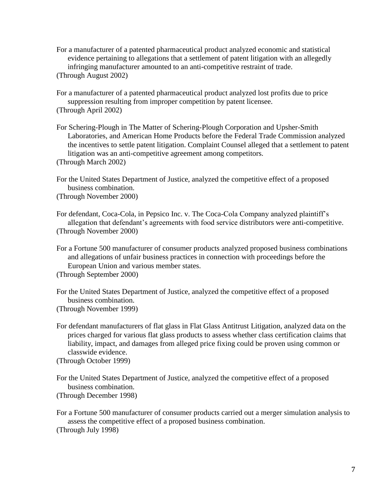For a manufacturer of a patented pharmaceutical product analyzed economic and statistical evidence pertaining to allegations that a settlement of patent litigation with an allegedly infringing manufacturer amounted to an anti-competitive restraint of trade. (Through August 2002)

For a manufacturer of a patented pharmaceutical product analyzed lost profits due to price suppression resulting from improper competition by patent licensee. (Through April 2002)

For Schering-Plough in The Matter of Schering-Plough Corporation and Upsher-Smith Laboratories, and American Home Products before the Federal Trade Commission analyzed the incentives to settle patent litigation. Complaint Counsel alleged that a settlement to patent litigation was an anti-competitive agreement among competitors. (Through March 2002)

For the United States Department of Justice, analyzed the competitive effect of a proposed business combination.

(Through November 2000)

For defendant, Coca-Cola, in Pepsico Inc. v. The Coca-Cola Company analyzed plaintiff's allegation that defendant's agreements with food service distributors were anti-competitive. (Through November 2000)

For a Fortune 500 manufacturer of consumer products analyzed proposed business combinations and allegations of unfair business practices in connection with proceedings before the European Union and various member states. (Through September 2000)

For the United States Department of Justice, analyzed the competitive effect of a proposed business combination. (Through November 1999)

For defendant manufacturers of flat glass in Flat Glass Antitrust Litigation, analyzed data on the prices charged for various flat glass products to assess whether class certification claims that liability, impact, and damages from alleged price fixing could be proven using common or classwide evidence.

(Through October 1999)

For the United States Department of Justice, analyzed the competitive effect of a proposed business combination. (Through December 1998)

For a Fortune 500 manufacturer of consumer products carried out a merger simulation analysis to assess the competitive effect of a proposed business combination. (Through July 1998)